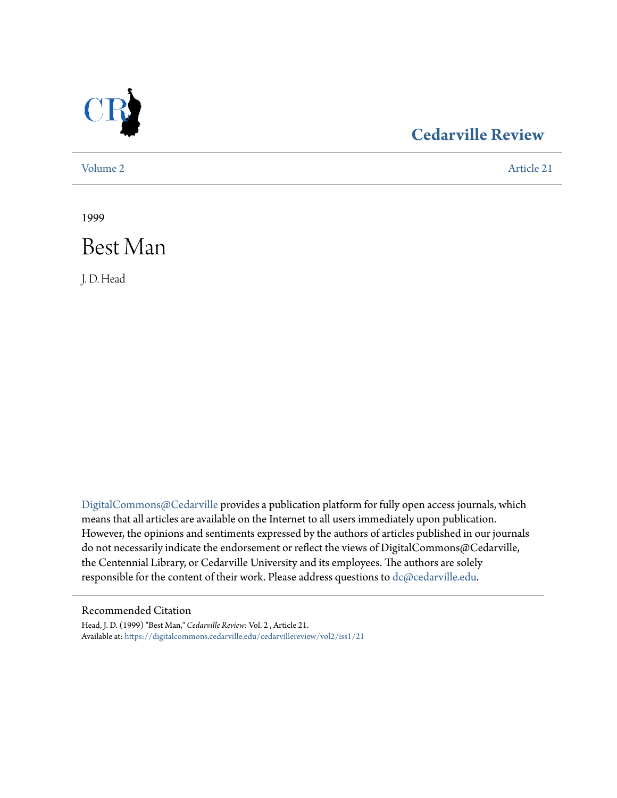

## **[Cedarville Review](https://digitalcommons.cedarville.edu/cedarvillereview?utm_source=digitalcommons.cedarville.edu%2Fcedarvillereview%2Fvol2%2Fiss1%2F21&utm_medium=PDF&utm_campaign=PDFCoverPages)**

[Volume 2](https://digitalcommons.cedarville.edu/cedarvillereview/vol2?utm_source=digitalcommons.cedarville.edu%2Fcedarvillereview%2Fvol2%2Fiss1%2F21&utm_medium=PDF&utm_campaign=PDFCoverPages) [Article 21](https://digitalcommons.cedarville.edu/cedarvillereview/vol2/iss1/21?utm_source=digitalcommons.cedarville.edu%2Fcedarvillereview%2Fvol2%2Fiss1%2F21&utm_medium=PDF&utm_campaign=PDFCoverPages)

1999



J. D. Head

[DigitalCommons@Cedarville](http://digitalcommons.cedarville.edu) provides a publication platform for fully open access journals, which means that all articles are available on the Internet to all users immediately upon publication. However, the opinions and sentiments expressed by the authors of articles published in our journals do not necessarily indicate the endorsement or reflect the views of DigitalCommons@Cedarville, the Centennial Library, or Cedarville University and its employees. The authors are solely responsible for the content of their work. Please address questions to [dc@cedarville.edu](mailto:dc@cedarville.edu).

#### Recommended Citation

Head, J. D. (1999) "Best Man," *Cedarville Review*: Vol. 2 , Article 21. Available at: [https://digitalcommons.cedarville.edu/cedarvillereview/vol2/iss1/21](https://digitalcommons.cedarville.edu/cedarvillereview/vol2/iss1/21?utm_source=digitalcommons.cedarville.edu%2Fcedarvillereview%2Fvol2%2Fiss1%2F21&utm_medium=PDF&utm_campaign=PDFCoverPages)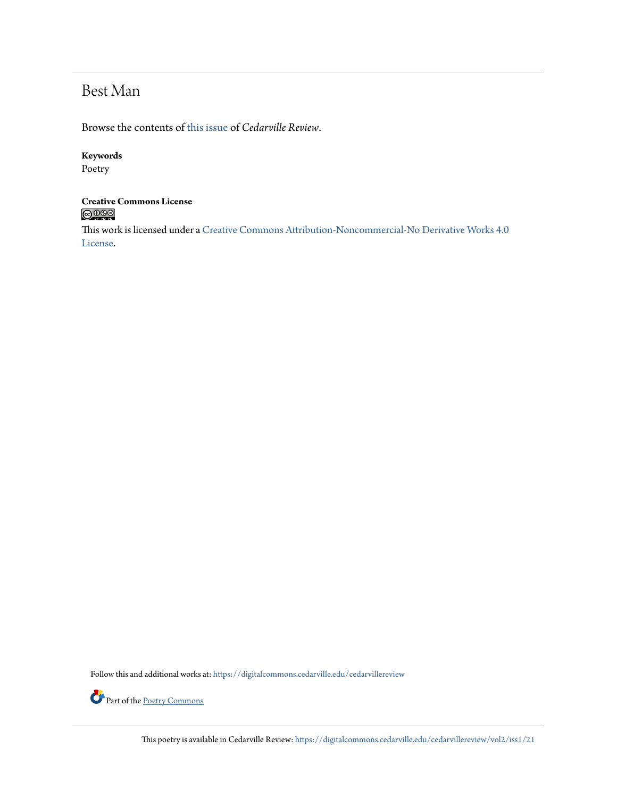# Best Man

Browse the contents of [this issue](https://digitalcommons.cedarville.edu/cedarvillereview/vol2/iss1) of *Cedarville Review*.

#### **Keywords**

Poetry

### **Creative Commons License**  $\bigcirc$  000

This work is licensed under a [Creative Commons Attribution-Noncommercial-No Derivative Works 4.0](http://creativecommons.org/licenses/by-nc-nd/4.0/) [License.](http://creativecommons.org/licenses/by-nc-nd/4.0/)

Follow this and additional works at: [https://digitalcommons.cedarville.edu/cedarvillereview](https://digitalcommons.cedarville.edu/cedarvillereview?utm_source=digitalcommons.cedarville.edu%2Fcedarvillereview%2Fvol2%2Fiss1%2F21&utm_medium=PDF&utm_campaign=PDFCoverPages)



This poetry is available in Cedarville Review: [https://digitalcommons.cedarville.edu/cedarvillereview/vol2/iss1/21](https://digitalcommons.cedarville.edu/cedarvillereview/vol2/iss1/21?utm_source=digitalcommons.cedarville.edu%2Fcedarvillereview%2Fvol2%2Fiss1%2F21&utm_medium=PDF&utm_campaign=PDFCoverPages)